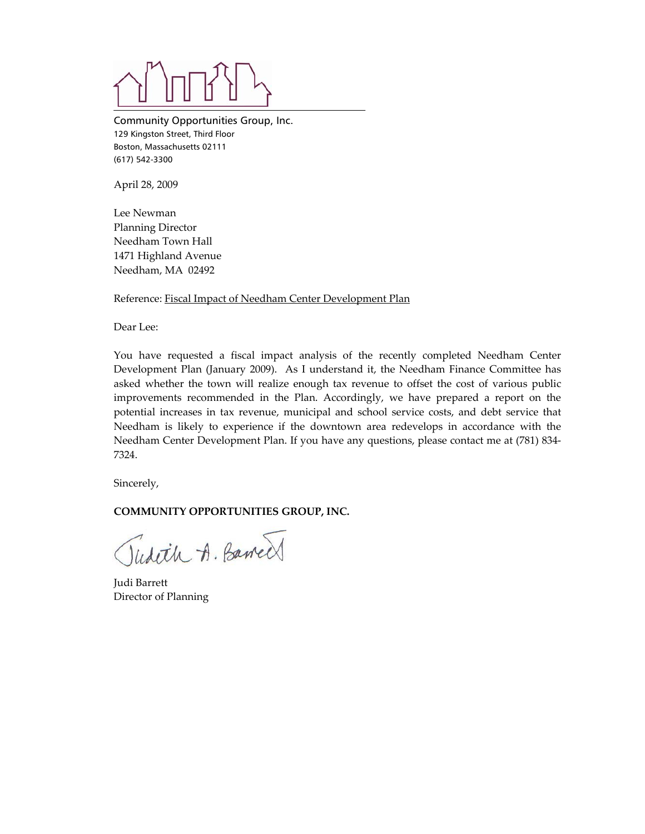Community Opportunities Group, Inc. 129 Kingston Street, Third Floor Boston, Massachusetts 02111 (617) 542-3300

April 28, 2009

Lee Newman Planning Director Needham Town Hall 1471 Highland Avenue Needham, MA 02492

Reference: Fiscal Impact of Needham Center Development Plan

Dear Lee:

You have requested a fiscal impact analysis of the recently completed Needham Center Development Plan (January 2009). As I understand it, the Needham Finance Committee has asked whether the town will realize enough tax revenue to offset the cost of various public improvements recommended in the Plan. Accordingly, we have prepared a report on the potential increases in tax revenue, municipal and school service costs, and debt service that Needham is likely to experience if the downtown area redevelops in accordance with the Needham Center Development Plan. If you have any questions, please contact me at (781) 834‐ 7324.

Sincerely,

## **COMMUNITY OPPORTUNITIES GROUP, INC.**

Tudeth A. Barred

Judi Barrett Director of Planning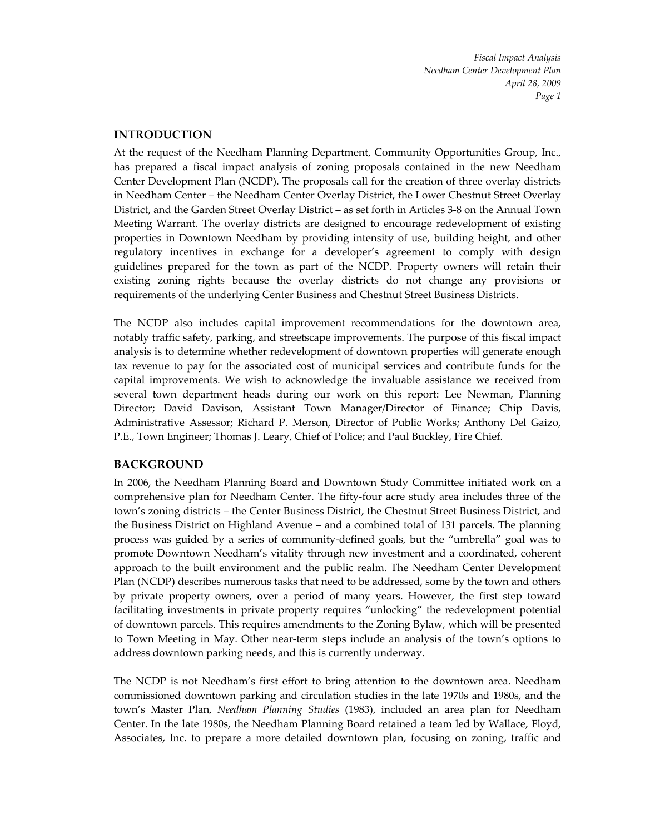*Fiscal Impact Analysis Needham Center Development Plan April 28, 2009 Page 1*

## **INTRODUCTION**

At the request of the Needham Planning Department, Community Opportunities Group, Inc., has prepared a fiscal impact analysis of zoning proposals contained in the new Needham Center Development Plan (NCDP). The proposals call for the creation of three overlay districts in Needham Center – the Needham Center Overlay District, the Lower Chestnut Street Overlay District, and the Garden Street Overlay District – as set forth in Articles 3‐8 on the Annual Town Meeting Warrant. The overlay districts are designed to encourage redevelopment of existing properties in Downtown Needham by providing intensity of use, building height, and other regulatory incentives in exchange for a developer's agreement to comply with design guidelines prepared for the town as part of the NCDP. Property owners will retain their existing zoning rights because the overlay districts do not change any provisions or requirements of the underlying Center Business and Chestnut Street Business Districts.

The NCDP also includes capital improvement recommendations for the downtown area, notably traffic safety, parking, and streetscape improvements. The purpose of this fiscal impact analysis is to determine whether redevelopment of downtown properties will generate enough tax revenue to pay for the associated cost of municipal services and contribute funds for the capital improvements. We wish to acknowledge the invaluable assistance we received from several town department heads during our work on this report: Lee Newman, Planning Director; David Davison, Assistant Town Manager/Director of Finance; Chip Davis, Administrative Assessor; Richard P. Merson, Director of Public Works; Anthony Del Gaizo, P.E., Town Engineer; Thomas J. Leary, Chief of Police; and Paul Buckley, Fire Chief.

## **BACKGROUND**

In 2006, the Needham Planning Board and Downtown Study Committee initiated work on a comprehensive plan for Needham Center. The fifty‐four acre study area includes three of the town's zoning districts – the Center Business District, the Chestnut Street Business District, and the Business District on Highland Avenue – and a combined total of 131 parcels. The planning process was guided by a series of community‐defined goals, but the "umbrella" goal was to promote Downtown Needham's vitality through new investment and a coordinated, coherent approach to the built environment and the public realm. The Needham Center Development Plan (NCDP) describes numerous tasks that need to be addressed, some by the town and others by private property owners, over a period of many years. However, the first step toward facilitating investments in private property requires "unlocking" the redevelopment potential of downtown parcels. This requires amendments to the Zoning Bylaw, which will be presented to Town Meeting in May. Other near‐term steps include an analysis of the town's options to address downtown parking needs, and this is currently underway.

The NCDP is not Needham's first effort to bring attention to the downtown area. Needham commissioned downtown parking and circulation studies in the late 1970s and 1980s, and the town's Master Plan, *Needham Planning Studies* (1983), included an area plan for Needham Center. In the late 1980s, the Needham Planning Board retained a team led by Wallace, Floyd, Associates, Inc. to prepare a more detailed downtown plan, focusing on zoning, traffic and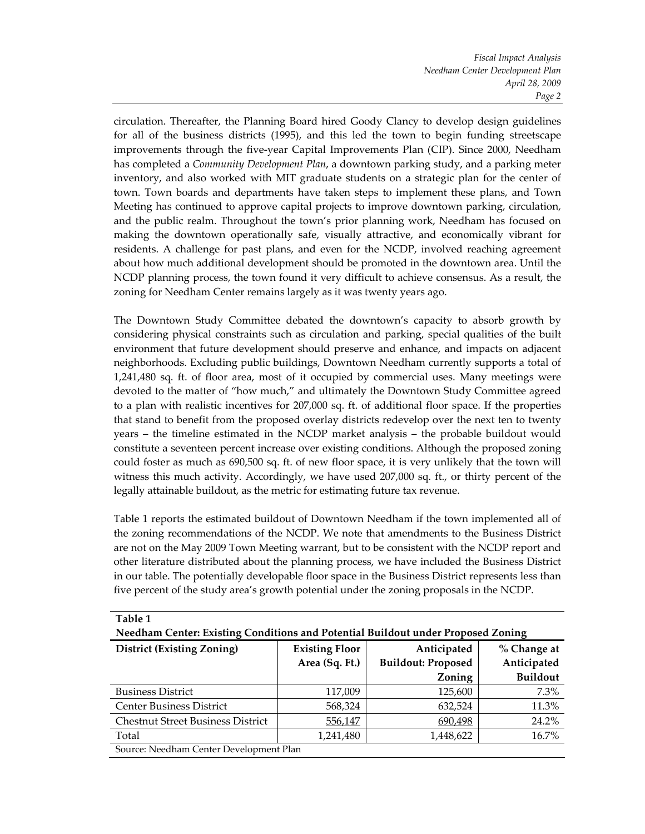*Fiscal Impact Analysis Needham Center Development Plan April 28, 2009 Page 2*

circulation. Thereafter, the Planning Board hired Goody Clancy to develop design guidelines for all of the business districts (1995), and this led the town to begin funding streetscape improvements through the five‐year Capital Improvements Plan (CIP). Since 2000, Needham has completed a *Community Development Plan*, a downtown parking study, and a parking meter inventory, and also worked with MIT graduate students on a strategic plan for the center of town. Town boards and departments have taken steps to implement these plans, and Town Meeting has continued to approve capital projects to improve downtown parking, circulation, and the public realm. Throughout the town's prior planning work, Needham has focused on making the downtown operationally safe, visually attractive, and economically vibrant for residents. A challenge for past plans, and even for the NCDP, involved reaching agreement about how much additional development should be promoted in the downtown area. Until the NCDP planning process, the town found it very difficult to achieve consensus. As a result, the zoning for Needham Center remains largely as it was twenty years ago.

The Downtown Study Committee debated the downtown's capacity to absorb growth by considering physical constraints such as circulation and parking, special qualities of the built environment that future development should preserve and enhance, and impacts on adjacent neighborhoods. Excluding public buildings, Downtown Needham currently supports a total of 1,241,480 sq. ft. of floor area, most of it occupied by commercial uses. Many meetings were devoted to the matter of "how much," and ultimately the Downtown Study Committee agreed to a plan with realistic incentives for 207,000 sq. ft. of additional floor space. If the properties that stand to benefit from the proposed overlay districts redevelop over the next ten to twenty years – the timeline estimated in the NCDP market analysis – the probable buildout would constitute a seventeen percent increase over existing conditions. Although the proposed zoning could foster as much as 690,500 sq. ft. of new floor space, it is very unlikely that the town will witness this much activity. Accordingly, we have used 207,000 sq. ft., or thirty percent of the legally attainable buildout, as the metric for estimating future tax revenue.

Table 1 reports the estimated buildout of Downtown Needham if the town implemented all of the zoning recommendations of the NCDP. We note that amendments to the Business District are not on the May 2009 Town Meeting warrant, but to be consistent with the NCDP report and other literature distributed about the planning process, we have included the Business District in our table. The potentially developable floor space in the Business District represents less than five percent of the study area's growth potential under the zoning proposals in the NCDP.

| Table 1                                                                          |                                                     |                           |                 |  |  |  |
|----------------------------------------------------------------------------------|-----------------------------------------------------|---------------------------|-----------------|--|--|--|
| Needham Center: Existing Conditions and Potential Buildout under Proposed Zoning |                                                     |                           |                 |  |  |  |
| <b>District (Existing Zoning)</b>                                                | Anticipated<br><b>Existing Floor</b><br>% Change at |                           |                 |  |  |  |
|                                                                                  | Area (Sq. Ft.)                                      | <b>Buildout: Proposed</b> | Anticipated     |  |  |  |
|                                                                                  |                                                     | Zoning                    | <b>Buildout</b> |  |  |  |
| <b>Business District</b>                                                         | 117,009                                             | 125,600                   | 7.3%            |  |  |  |
| <b>Center Business District</b>                                                  | 568,324                                             | 632,524                   | 11.3%           |  |  |  |
| <b>Chestnut Street Business District</b>                                         | 556,147                                             | 690,498                   | 24.2%           |  |  |  |
| Total                                                                            | 1,241,480                                           | 1,448,622                 | 16.7%           |  |  |  |
| Source: Needham Center Development Plan                                          |                                                     |                           |                 |  |  |  |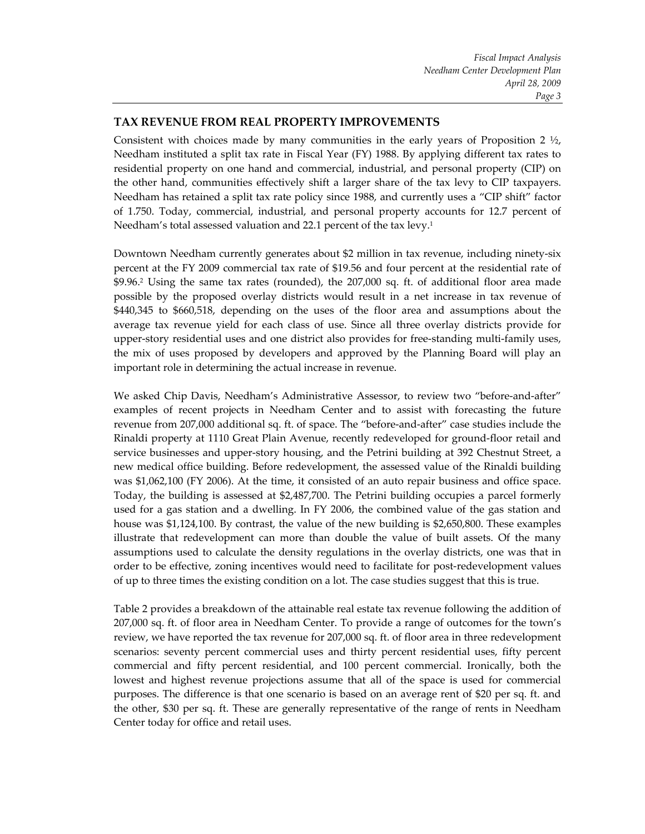## **TAX REVENUE FROM REAL PROPERTY IMPROVEMENTS**

Consistent with choices made by many communities in the early years of Proposition 2  $\frac{1}{2}$ , Needham instituted a split tax rate in Fiscal Year (FY) 1988. By applying different tax rates to residential property on one hand and commercial, industrial, and personal property (CIP) on the other hand, communities effectively shift a larger share of the tax levy to CIP taxpayers. Needham has retained a split tax rate policy since 1988, and currently uses a "CIP shift" factor of 1.750. Today, commercial, industrial, and personal property accounts for 12.7 percent of Needham's total assessed valuation and 22.1 percent of the tax levy.<sup>1</sup>

Downtown Needham currently generates about \$2 million in tax revenue, including ninety‐six percent at the FY 2009 commercial tax rate of \$19.56 and four percent at the residential rate of \$9.96.2 Using the same tax rates (rounded), the 207,000 sq. ft. of additional floor area made possible by the proposed overlay districts would result in a net increase in tax revenue of \$440,345 to \$660,518, depending on the uses of the floor area and assumptions about the average tax revenue yield for each class of use. Since all three overlay districts provide for upper‐story residential uses and one district also provides for free‐standing multi‐family uses, the mix of uses proposed by developers and approved by the Planning Board will play an important role in determining the actual increase in revenue.

We asked Chip Davis, Needham's Administrative Assessor, to review two "before-and-after" examples of recent projects in Needham Center and to assist with forecasting the future revenue from 207,000 additional sq. ft. of space. The "before‐and‐after" case studies include the Rinaldi property at 1110 Great Plain Avenue, recently redeveloped for ground‐floor retail and service businesses and upper-story housing, and the Petrini building at 392 Chestnut Street, a new medical office building. Before redevelopment, the assessed value of the Rinaldi building was \$1,062,100 (FY 2006). At the time, it consisted of an auto repair business and office space. Today, the building is assessed at \$2,487,700. The Petrini building occupies a parcel formerly used for a gas station and a dwelling. In FY 2006, the combined value of the gas station and house was \$1,124,100. By contrast, the value of the new building is \$2,650,800. These examples illustrate that redevelopment can more than double the value of built assets. Of the many assumptions used to calculate the density regulations in the overlay districts, one was that in order to be effective, zoning incentives would need to facilitate for post-redevelopment values of up to three times the existing condition on a lot. The case studies suggest that this is true.

Table 2 provides a breakdown of the attainable real estate tax revenue following the addition of 207,000 sq. ft. of floor area in Needham Center. To provide a range of outcomes for the town's review, we have reported the tax revenue for 207,000 sq. ft. of floor area in three redevelopment scenarios: seventy percent commercial uses and thirty percent residential uses, fifty percent commercial and fifty percent residential, and 100 percent commercial. Ironically, both the lowest and highest revenue projections assume that all of the space is used for commercial purposes. The difference is that one scenario is based on an average rent of \$20 per sq. ft. and the other, \$30 per sq. ft. These are generally representative of the range of rents in Needham Center today for office and retail uses.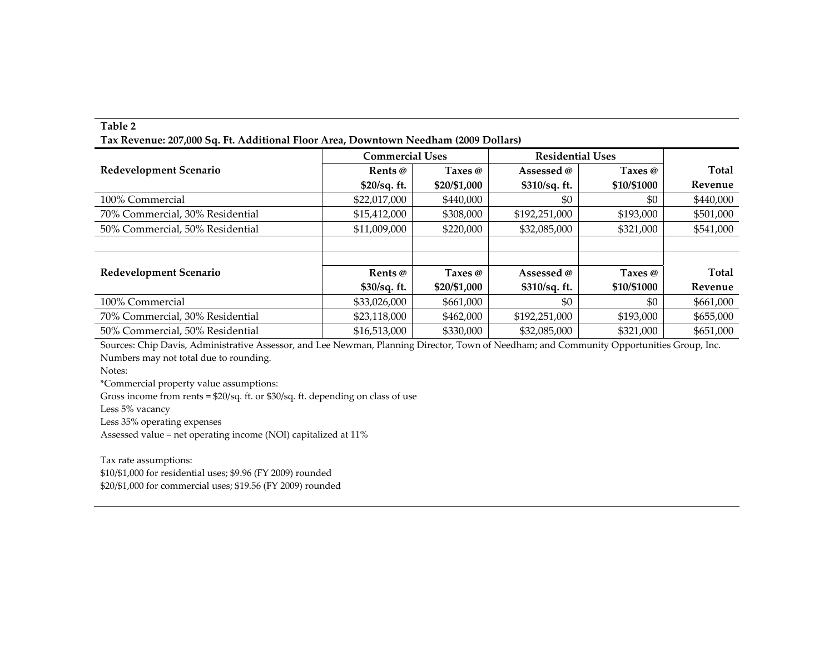#### **Table 2**

**Tax Revenue: 207,000 Sq. Ft. Additional Floor Area, Downtown Needham (2009 Dollars)**

|                                 | <b>Commercial Uses</b> |                | <b>Residential Uses</b> |             |              |
|---------------------------------|------------------------|----------------|-------------------------|-------------|--------------|
| <b>Redevelopment Scenario</b>   | Rents @                | Taxes $\omega$ | Assessed @              | Taxes @     | <b>Total</b> |
|                                 | $$20/sq.$ ft.          | \$20/\$1,000   | $$310/sq.$ ft.          | \$10/\$1000 | Revenue      |
| 100% Commercial                 | \$22,017,000           | \$440,000      | \$0                     | \$0         | \$440,000    |
| 70% Commercial, 30% Residential | \$15,412,000           | \$308,000      | \$192,251,000           | \$193,000   | \$501,000    |
| 50% Commercial, 50% Residential | \$11,009,000           | \$220,000      | \$32,085,000            | \$321,000   | \$541,000    |
|                                 |                        |                |                         |             |              |
|                                 |                        |                |                         |             |              |
| Redevelopment Scenario          | Rents @                | Taxes $\omega$ | Assessed @              | Taxes @     | <b>Total</b> |
|                                 | $$30/sq.$ ft.          | \$20/\$1,000   | $$310/sq.$ ft.          | \$10/\$1000 | Revenue      |
| 100% Commercial                 | \$33,026,000           | \$661,000      | \$0                     | \$0         | \$661,000    |
| 70% Commercial, 30% Residential | \$23,118,000           | \$462,000      | \$192,251,000           | \$193,000   | \$655,000    |
| 50% Commercial, 50% Residential | \$16,513,000           | \$330,000      | \$32,085,000            | \$321,000   | \$651,000    |

Sources: Chip Davis, Administrative Assessor, and Lee Newman, Planning Director, Town of Needham; and Community Opportunities Group, Inc. Numbers may not total due to rounding.

Notes:

\*Commercial property value assumptions:

Gross income from rents <sup>=</sup> \$20/sq. ft. or \$30/sq. ft. depending on class of use

Less 5% vacancy

Less 35% operating expenses

Assessed value <sup>=</sup> net operating income (NOI) capitalized at 11%

Tax rate assumptions: \$10/\$1,000 for residential uses; \$9.96 (FY 2009) rounded \$20/\$1,000 for commercial uses; \$19.56 (FY 2009) rounded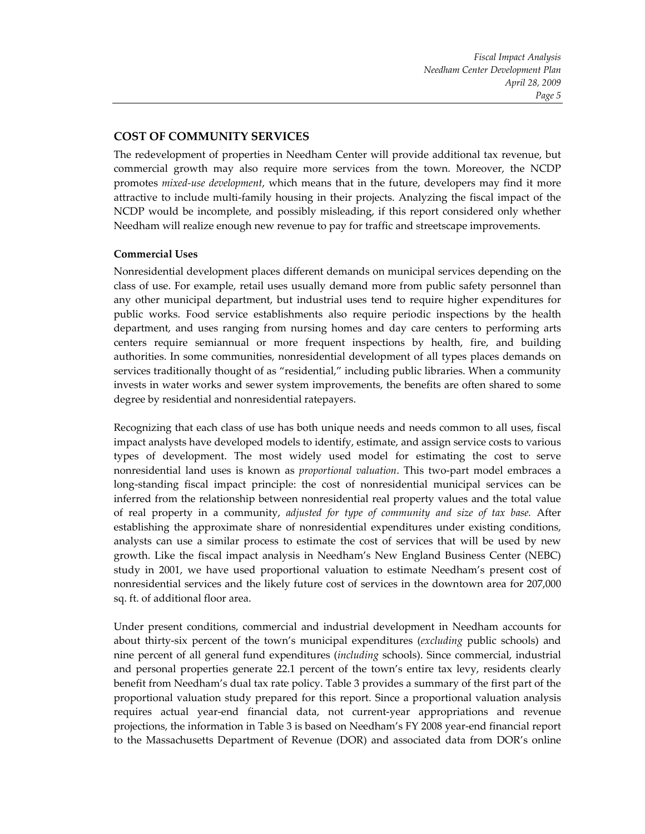*Fiscal Impact Analysis Needham Center Development Plan April 28, 2009 Page 5*

## **COST OF COMMUNITY SERVICES**

The redevelopment of properties in Needham Center will provide additional tax revenue, but commercial growth may also require more services from the town. Moreover, the NCDP promotes *mixed‐use development*, which means that in the future, developers may find it more attractive to include multi‐family housing in their projects. Analyzing the fiscal impact of the NCDP would be incomplete, and possibly misleading, if this report considered only whether Needham will realize enough new revenue to pay for traffic and streetscape improvements.

#### **Commercial Uses**

Nonresidential development places different demands on municipal services depending on the class of use. For example, retail uses usually demand more from public safety personnel than any other municipal department, but industrial uses tend to require higher expenditures for public works. Food service establishments also require periodic inspections by the health department, and uses ranging from nursing homes and day care centers to performing arts centers require semiannual or more frequent inspections by health, fire, and building authorities. In some communities, nonresidential development of all types places demands on services traditionally thought of as "residential," including public libraries. When a community invests in water works and sewer system improvements, the benefits are often shared to some degree by residential and nonresidential ratepayers.

Recognizing that each class of use has both unique needs and needs common to all uses, fiscal impact analysts have developed models to identify, estimate, and assign service costs to various types of development. The most widely used model for estimating the cost to serve nonresidential land uses is known as *proportional valuation*. This two‐part model embraces a long‐standing fiscal impact principle: the cost of nonresidential municipal services can be inferred from the relationship between nonresidential real property values and the total value of real property in a community, *adjusted for type of community and size of tax base.* After establishing the approximate share of nonresidential expenditures under existing conditions, analysts can use a similar process to estimate the cost of services that will be used by new growth. Like the fiscal impact analysis in Needham's New England Business Center (NEBC) study in 2001, we have used proportional valuation to estimate Needham's present cost of nonresidential services and the likely future cost of services in the downtown area for 207,000 sq. ft. of additional floor area.

Under present conditions, commercial and industrial development in Needham accounts for about thirty‐six percent of the town's municipal expenditures (*excluding* public schools) and nine percent of all general fund expenditures (*including* schools). Since commercial, industrial and personal properties generate 22.1 percent of the town's entire tax levy, residents clearly benefit from Needham's dual tax rate policy. Table 3 provides a summary of the first part of the proportional valuation study prepared for this report. Since a proportional valuation analysis requires actual year‐end financial data, not current‐year appropriations and revenue projections, the information in Table 3 is based on Needham's FY 2008 year-end financial report to the Massachusetts Department of Revenue (DOR) and associated data from DOR's online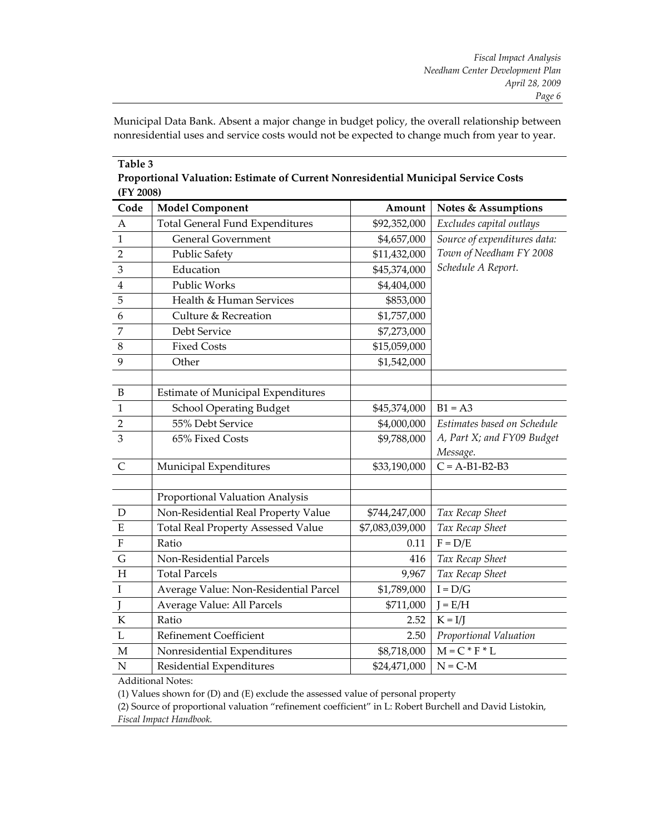Municipal Data Bank. Absent a major change in budget policy, the overall relationship between nonresidential uses and service costs would not be expected to change much from year to year.

| (FY 2008)                 | 1 горогионаг умгаанын тэмпийс ог сантин губитэлагийн гланитраг эсгүгсс соэк |                 |                                |
|---------------------------|-----------------------------------------------------------------------------|-----------------|--------------------------------|
| Code                      | <b>Model Component</b>                                                      | Amount          | <b>Notes &amp; Assumptions</b> |
| $\mathbf{A}$              | <b>Total General Fund Expenditures</b>                                      | \$92,352,000    | Excludes capital outlays       |
| $\mathbf{1}$              | <b>General Government</b>                                                   | \$4,657,000     | Source of expenditures data:   |
| $\overline{2}$            | <b>Public Safety</b>                                                        | \$11,432,000    | Town of Needham FY 2008        |
| 3                         | Education                                                                   | \$45,374,000    | Schedule A Report.             |
| $\overline{4}$            | Public Works                                                                | \$4,404,000     |                                |
| 5                         | Health & Human Services                                                     | \$853,000       |                                |
| $\boldsymbol{6}$          | Culture & Recreation                                                        | \$1,757,000     |                                |
| 7                         | Debt Service                                                                | \$7,273,000     |                                |
| $\,8\,$                   | <b>Fixed Costs</b>                                                          | \$15,059,000    |                                |
| 9                         | Other                                                                       | \$1,542,000     |                                |
|                           |                                                                             |                 |                                |
| $\mathbf B$               | <b>Estimate of Municipal Expenditures</b>                                   |                 |                                |
| $\mathbf{1}$              | <b>School Operating Budget</b>                                              | \$45,374,000    | $B1 = A3$                      |
| $\overline{2}$            | 55% Debt Service                                                            | \$4,000,000     | Estimates based on Schedule    |
| 3                         | 65% Fixed Costs                                                             | \$9,788,000     | A, Part X; and FY09 Budget     |
|                           |                                                                             |                 | Message.                       |
| $\mathsf{C}$              | Municipal Expenditures                                                      | \$33,190,000    | $C = A-B1-B2-B3$               |
|                           |                                                                             |                 |                                |
|                           | Proportional Valuation Analysis                                             |                 |                                |
| $\mathbf D$               | Non-Residential Real Property Value                                         | \$744,247,000   | Tax Recap Sheet                |
| ${\bf E}$                 | <b>Total Real Property Assessed Value</b>                                   | \$7,083,039,000 | Tax Recap Sheet                |
| $\boldsymbol{\mathrm{F}}$ | Ratio                                                                       | 0.11            | $F = D/E$                      |
| $\mathsf G$               | Non-Residential Parcels                                                     | 416             | Tax Recap Sheet                |
| H                         | <b>Total Parcels</b>                                                        | 9,967           | Tax Recap Sheet                |
| $\rm I$                   | Average Value: Non-Residential Parcel                                       | \$1,789,000     | $I = D/G$                      |
| J                         | Average Value: All Parcels                                                  | \$711,000       | $J = E/H$                      |
| ${\bf K}$                 | Ratio                                                                       | 2.52            | $K = I/J$                      |
| $\mathbf L$               | <b>Refinement Coefficient</b>                                               | 2.50            | Proportional Valuation         |
| $\mathbf M$               | Nonresidential Expenditures                                                 | \$8,718,000     | $M = C * F * L$                |
| ${\bf N}$                 | Residential Expenditures                                                    | \$24,471,000    | $N = C-M$                      |

| Table 3                                                                            |
|------------------------------------------------------------------------------------|
| Proportional Valuation: Estimate of Current Nonresidential Municipal Service Costs |
| (FY 2008)                                                                          |

Additional Notes:

(1) Values shown for (D) and (E) exclude the assessed value of personal property

(2) Source of proportional valuation "refinement coefficient" in L: Robert Burchell and David Listokin, *Fiscal Impact Handbook.*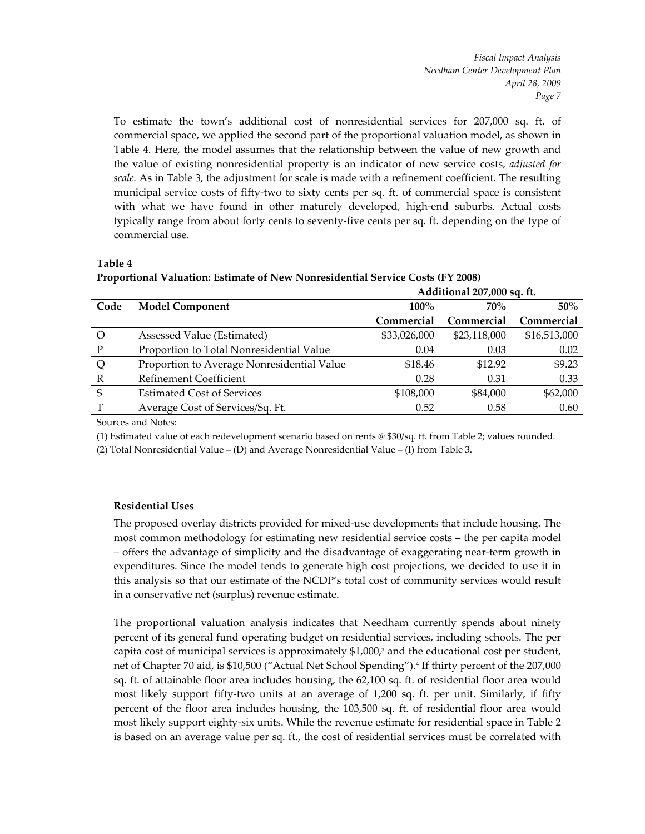To estimate the town's additional cost of nonresidential services for 207,000 sq. ft. of commercial space, we applied the second part of the proportional valuation model, as shown in Table 4. Here, the model assumes that the relationship between the value of new growth and the value of existing nonresidential property is an indicator of new service costs, *adjusted for scale.* As in Table 3, the adjustment for scale is made with a refinement coefficient. The resulting municipal service costs of fifty-two to sixty cents per sq. ft. of commercial space is consistent with what we have found in other maturely developed, high-end suburbs. Actual costs typically range from about forty cents to seventy‐five cents per sq. ft. depending on the type of commercial use.

| <b>Proportional Valuation: Estimate of New Nonresidential Service Costs (FY 2008)</b> |                            |              |              |  |  |
|---------------------------------------------------------------------------------------|----------------------------|--------------|--------------|--|--|
|                                                                                       | Additional 207,000 sq. ft. |              |              |  |  |
| <b>Model Component</b>                                                                | $100\%$                    | $50\%$       |              |  |  |
|                                                                                       | Commercial                 | Commercial   | Commercial   |  |  |
| Assessed Value (Estimated)                                                            | \$33,026,000               | \$23,118,000 | \$16,513,000 |  |  |
| Proportion to Total Nonresidential Value                                              | 0.04                       | 0.03         | 0.02         |  |  |
| Proportion to Average Nonresidential Value                                            | \$18.46                    | \$12.92      | \$9.23       |  |  |
| <b>Refinement Coefficient</b>                                                         | 0.28                       | 0.31         | 0.33         |  |  |
| <b>Estimated Cost of Services</b>                                                     | \$108,000                  | \$84,000     | \$62,000     |  |  |
| Average Cost of Services/Sq. Ft.                                                      | 0.52                       | 0.58         | 0.60         |  |  |
|                                                                                       |                            |              | $70\%$       |  |  |

Sources and Notes:

**Table 4**

(1) Estimated value of each redevelopment scenario based on rents @ \$30/sq. ft. from Table 2; values rounded.

(2) Total Nonresidential Value = (D) and Average Nonresidential Value = (I) from Table 3.

#### **Residential Uses**

The proposed overlay districts provided for mixed‐use developments that include housing. The most common methodology for estimating new residential service costs – the per capita model – offers the advantage of simplicity and the disadvantage of exaggerating near‐term growth in expenditures. Since the model tends to generate high cost projections, we decided to use it in this analysis so that our estimate of the NCDP's total cost of community services would result in a conservative net (surplus) revenue estimate.

The proportional valuation analysis indicates that Needham currently spends about ninety percent of its general fund operating budget on residential services, including schools. The per capita cost of municipal services is approximately  $$1,000$ ,<sup>3</sup> and the educational cost per student, net of Chapter 70 aid, is \$10,500 ("Actual Net School Spending").4 If thirty percent of the 207,000 sq. ft. of attainable floor area includes housing, the 62,100 sq. ft. of residential floor area would most likely support fifty-two units at an average of 1,200 sq. ft. per unit. Similarly, if fifty percent of the floor area includes housing, the 103,500 sq. ft. of residential floor area would most likely support eighty‐six units. While the revenue estimate for residential space in Table 2 is based on an average value per sq. ft., the cost of residential services must be correlated with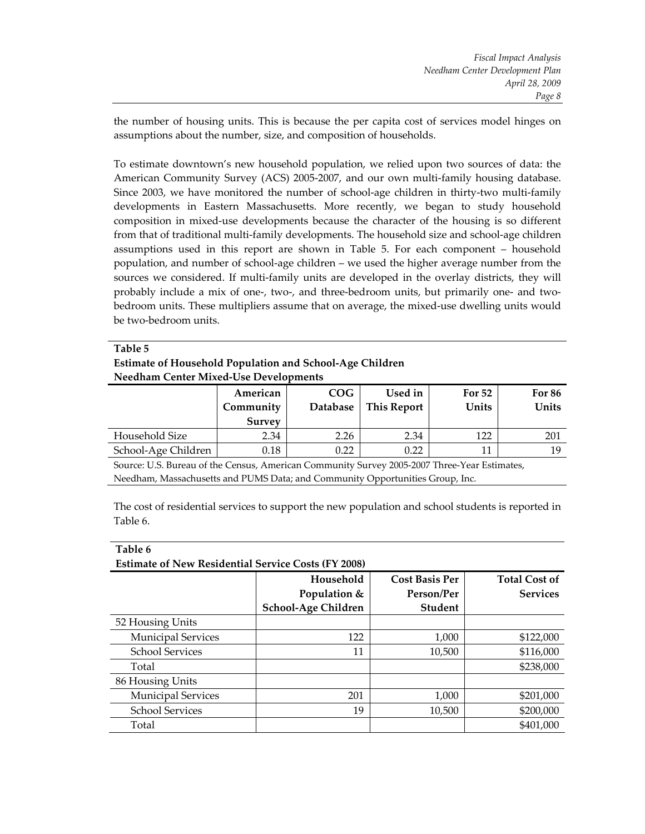the number of housing units. This is because the per capita cost of services model hinges on assumptions about the number, size, and composition of households.

To estimate downtown's new household population, we relied upon two sources of data: the American Community Survey (ACS) 2005‐2007, and our own multi‐family housing database. Since 2003, we have monitored the number of school-age children in thirty-two multi-family developments in Eastern Massachusetts. More recently, we began to study household composition in mixed‐use developments because the character of the housing is so different from that of traditional multi-family developments. The household size and school-age children assumptions used in this report are shown in Table 5. For each component – household population, and number of school‐age children – we used the higher average number from the sources we considered. If multi-family units are developed in the overlay districts, they will probably include a mix of one-, two-, and three-bedroom units, but primarily one- and twobedroom units. These multipliers assume that on average, the mixed‐use dwelling units would be two‐bedroom units.

| Table 5                                                  |
|----------------------------------------------------------|
| Estimate of Household Population and School-Age Children |
| <b>Needham Center Mixed-Use Developments</b>             |

|                     | American  | <b>COG</b>      | Used in            | For 52 | <b>For 86</b> |
|---------------------|-----------|-----------------|--------------------|--------|---------------|
|                     | Community | <b>Database</b> | <b>This Report</b> | Units  | Units         |
|                     | Survey    |                 |                    |        |               |
| Household Size      | 2.34      | 2.26            | 2.34               | 122    | 201           |
| School-Age Children | 0.18      | 0.22            | 0.22               | 11     | 19            |

Source: U.S. Bureau of the Census, American Community Survey 2005‐2007 Three‐Year Estimates, Needham, Massachusetts and PUMS Data; and Community Opportunities Group, Inc.

The cost of residential services to support the new population and school students is reported in Table 6.

**Table 6**

**Estimate of New Residential Service Costs (FY 2008)**

|                           | Household           | <b>Cost Basis Per</b> | <b>Total Cost of</b> |
|---------------------------|---------------------|-----------------------|----------------------|
|                           | Population &        | Person/Per            | <b>Services</b>      |
|                           | School-Age Children | <b>Student</b>        |                      |
| 52 Housing Units          |                     |                       |                      |
| <b>Municipal Services</b> | 122                 | 1,000                 | \$122,000            |
| <b>School Services</b>    | 11                  | 10,500                | \$116,000            |
| Total                     |                     |                       | \$238,000            |
| 86 Housing Units          |                     |                       |                      |
| <b>Municipal Services</b> | 201                 | 1,000                 | \$201,000            |
| <b>School Services</b>    | 19                  | 10,500                | \$200,000            |
| Total                     |                     |                       | \$401,000            |
|                           |                     |                       |                      |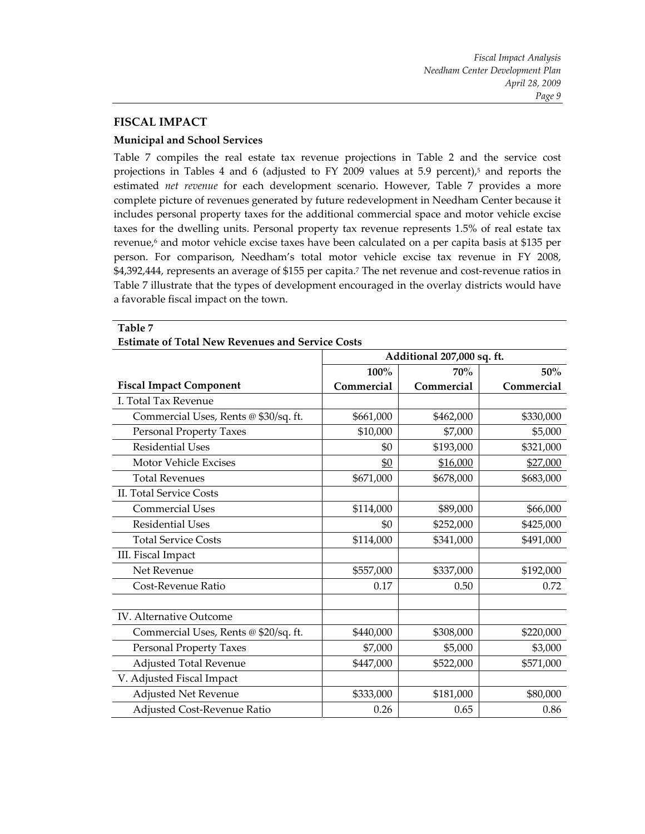## **FISCAL IMPACT**

#### **Municipal and School Services**

Table 7 compiles the real estate tax revenue projections in Table 2 and the service cost projections in Tables 4 and 6 (adjusted to FY 2009 values at 5.9 percent),<sup>5</sup> and reports the estimated *net revenue* for each development scenario. However, Table 7 provides a more complete picture of revenues generated by future redevelopment in Needham Center because it includes personal property taxes for the additional commercial space and motor vehicle excise taxes for the dwelling units. Personal property tax revenue represents 1.5% of real estate tax revenue,<sup>6</sup> and motor vehicle excise taxes have been calculated on a per capita basis at \$135 per person. For comparison, Needham's total motor vehicle excise tax revenue in FY 2008, \$4,392,444, represents an average of \$155 per capita.7 The net revenue and cost‐revenue ratios in Table 7 illustrate that the types of development encouraged in the overlay districts would have a favorable fiscal impact on the town.

|                                       | Additional 207,000 sq. ft. |            |            |  |
|---------------------------------------|----------------------------|------------|------------|--|
|                                       | 100%                       | 50%        |            |  |
| <b>Fiscal Impact Component</b>        | Commercial                 | Commercial | Commercial |  |
| I. Total Tax Revenue                  |                            |            |            |  |
| Commercial Uses, Rents @ \$30/sq. ft. | \$661,000                  | \$462,000  | \$330,000  |  |
| <b>Personal Property Taxes</b>        | \$10,000                   | \$7,000    | \$5,000    |  |
| <b>Residential Uses</b>               | \$0                        | \$193,000  | \$321,000  |  |
| Motor Vehicle Excises                 | \$0                        | \$16,000   | \$27,000   |  |
| <b>Total Revenues</b>                 | \$671,000                  | \$678,000  | \$683,000  |  |
| II. Total Service Costs               |                            |            |            |  |
| <b>Commercial Uses</b>                | \$114,000                  | \$89,000   | \$66,000   |  |
| <b>Residential Uses</b>               | \$0                        | \$252,000  | \$425,000  |  |
| <b>Total Service Costs</b>            | \$114,000                  | \$341,000  | \$491,000  |  |
| III. Fiscal Impact                    |                            |            |            |  |
| Net Revenue                           | \$557,000                  | \$337,000  | \$192,000  |  |
| Cost-Revenue Ratio                    | 0.17                       | 0.50       | 0.72       |  |
|                                       |                            |            |            |  |
| <b>IV.</b> Alternative Outcome        |                            |            |            |  |
| Commercial Uses, Rents @ \$20/sq. ft. | \$440,000                  | \$308,000  | \$220,000  |  |
| Personal Property Taxes               | \$7,000                    | \$5,000    | \$3,000    |  |
| Adjusted Total Revenue                | \$447,000                  | \$522,000  | \$571,000  |  |
| V. Adjusted Fiscal Impact             |                            |            |            |  |
| <b>Adjusted Net Revenue</b>           | \$333,000                  | \$181,000  | \$80,000   |  |
| Adjusted Cost-Revenue Ratio           | 0.26                       | 0.65       | 0.86       |  |

#### **Table 7 Estimate of Total New Revenues and Service Costs**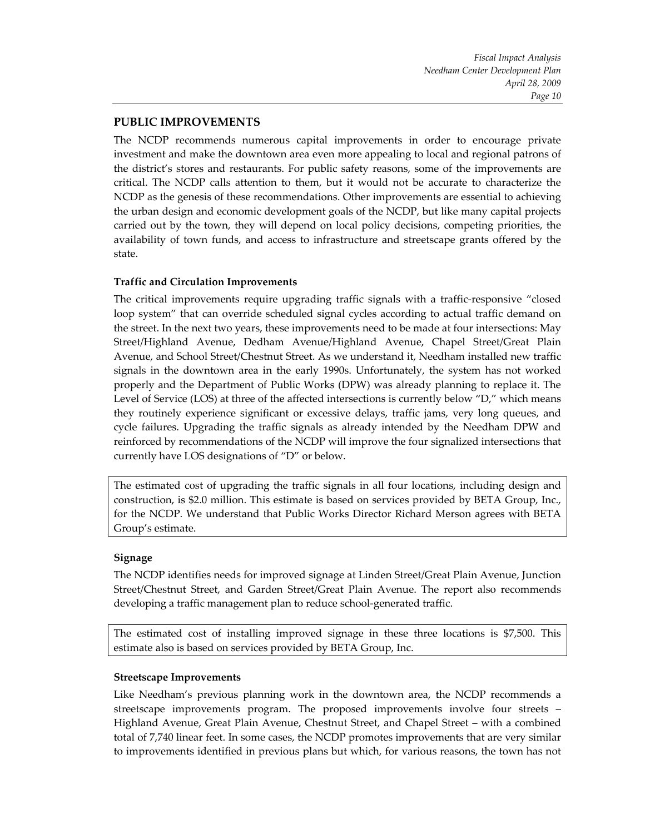# **PUBLIC IMPROVEMENTS**

The NCDP recommends numerous capital improvements in order to encourage private investment and make the downtown area even more appealing to local and regional patrons of the district's stores and restaurants. For public safety reasons, some of the improvements are critical. The NCDP calls attention to them, but it would not be accurate to characterize the NCDP as the genesis of these recommendations. Other improvements are essential to achieving the urban design and economic development goals of the NCDP, but like many capital projects carried out by the town, they will depend on local policy decisions, competing priorities, the availability of town funds, and access to infrastructure and streetscape grants offered by the state.

## **Traffic and Circulation Improvements**

The critical improvements require upgrading traffic signals with a traffic‐responsive "closed loop system" that can override scheduled signal cycles according to actual traffic demand on the street. In the next two years, these improvements need to be made at four intersections: May Street/Highland Avenue, Dedham Avenue/Highland Avenue, Chapel Street/Great Plain Avenue, and School Street/Chestnut Street. As we understand it, Needham installed new traffic signals in the downtown area in the early 1990s. Unfortunately, the system has not worked properly and the Department of Public Works (DPW) was already planning to replace it. The Level of Service (LOS) at three of the affected intersections is currently below "D," which means they routinely experience significant or excessive delays, traffic jams, very long queues, and cycle failures. Upgrading the traffic signals as already intended by the Needham DPW and reinforced by recommendations of the NCDP will improve the four signalized intersections that currently have LOS designations of "D" or below.

The estimated cost of upgrading the traffic signals in all four locations, including design and construction, is \$2.0 million. This estimate is based on services provided by BETA Group, Inc., for the NCDP. We understand that Public Works Director Richard Merson agrees with BETA Group's estimate.

## **Signage**

The NCDP identifies needs for improved signage at Linden Street/Great Plain Avenue, Junction Street/Chestnut Street, and Garden Street/Great Plain Avenue. The report also recommends developing a traffic management plan to reduce school‐generated traffic.

The estimated cost of installing improved signage in these three locations is \$7,500. This estimate also is based on services provided by BETA Group, Inc.

## **Streetscape Improvements**

Like Needham's previous planning work in the downtown area, the NCDP recommends a streetscape improvements program. The proposed improvements involve four streets – Highland Avenue, Great Plain Avenue, Chestnut Street, and Chapel Street – with a combined total of 7,740 linear feet. In some cases, the NCDP promotes improvements that are very similar to improvements identified in previous plans but which, for various reasons, the town has not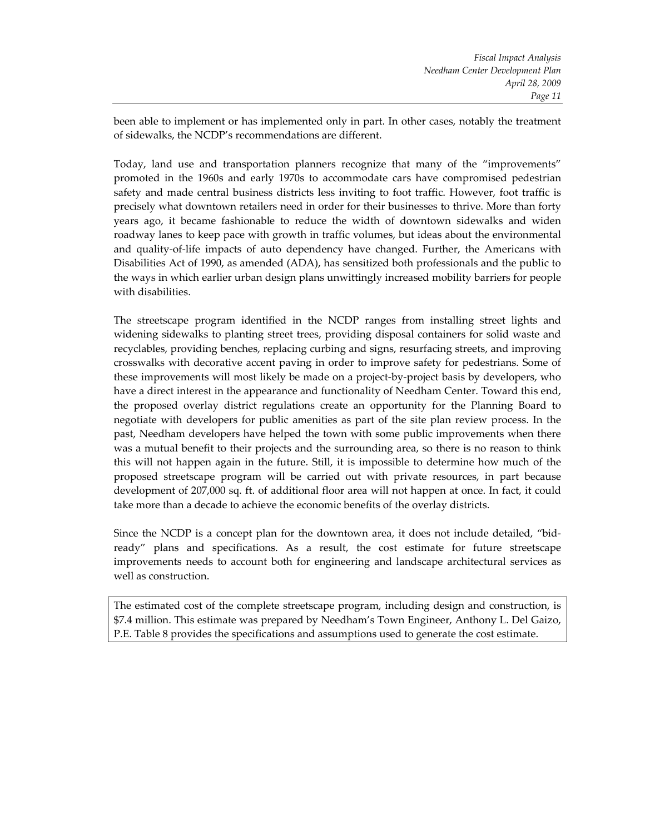been able to implement or has implemented only in part. In other cases, notably the treatment of sidewalks, the NCDP's recommendations are different.

Today, land use and transportation planners recognize that many of the "improvements" promoted in the 1960s and early 1970s to accommodate cars have compromised pedestrian safety and made central business districts less inviting to foot traffic. However, foot traffic is precisely what downtown retailers need in order for their businesses to thrive. More than forty years ago, it became fashionable to reduce the width of downtown sidewalks and widen roadway lanes to keep pace with growth in traffic volumes, but ideas about the environmental and quality-of-life impacts of auto dependency have changed. Further, the Americans with Disabilities Act of 1990, as amended (ADA), has sensitized both professionals and the public to the ways in which earlier urban design plans unwittingly increased mobility barriers for people with disabilities.

The streetscape program identified in the NCDP ranges from installing street lights and widening sidewalks to planting street trees, providing disposal containers for solid waste and recyclables, providing benches, replacing curbing and signs, resurfacing streets, and improving crosswalks with decorative accent paving in order to improve safety for pedestrians. Some of these improvements will most likely be made on a project-by-project basis by developers, who have a direct interest in the appearance and functionality of Needham Center. Toward this end, the proposed overlay district regulations create an opportunity for the Planning Board to negotiate with developers for public amenities as part of the site plan review process. In the past, Needham developers have helped the town with some public improvements when there was a mutual benefit to their projects and the surrounding area, so there is no reason to think this will not happen again in the future. Still, it is impossible to determine how much of the proposed streetscape program will be carried out with private resources, in part because development of 207,000 sq. ft. of additional floor area will not happen at once. In fact, it could take more than a decade to achieve the economic benefits of the overlay districts.

Since the NCDP is a concept plan for the downtown area, it does not include detailed, "bid‐ ready" plans and specifications. As a result, the cost estimate for future streetscape improvements needs to account both for engineering and landscape architectural services as well as construction.

The estimated cost of the complete streetscape program, including design and construction, is \$7.4 million. This estimate was prepared by Needham's Town Engineer, Anthony L. Del Gaizo, P.E. Table 8 provides the specifications and assumptions used to generate the cost estimate.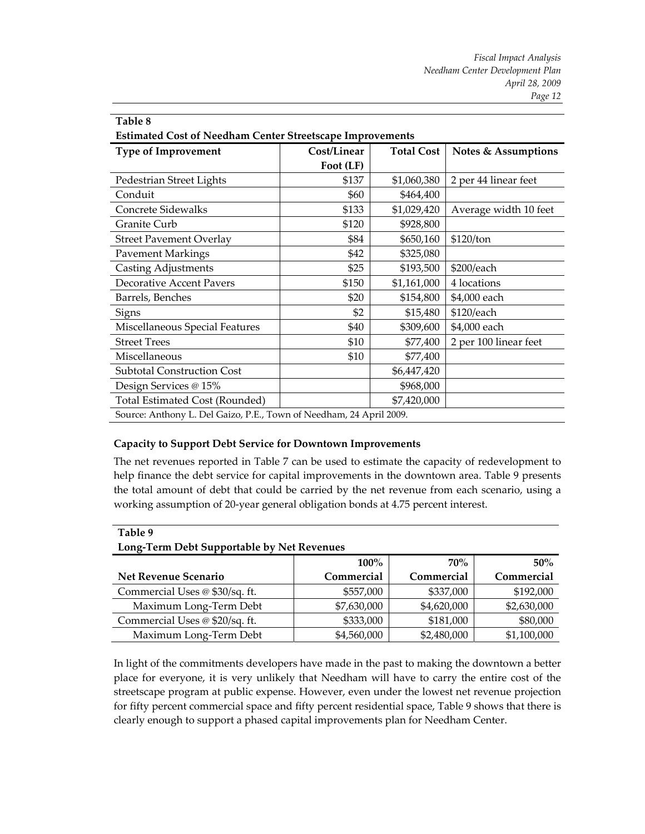| Table 8                                                             |             |                   |                                |  |  |  |
|---------------------------------------------------------------------|-------------|-------------------|--------------------------------|--|--|--|
| <b>Estimated Cost of Needham Center Streetscape Improvements</b>    |             |                   |                                |  |  |  |
| <b>Type of Improvement</b>                                          | Cost/Linear | <b>Total Cost</b> | <b>Notes &amp; Assumptions</b> |  |  |  |
|                                                                     | Foot (LF)   |                   |                                |  |  |  |
| Pedestrian Street Lights                                            | \$137       | \$1,060,380       | 2 per 44 linear feet           |  |  |  |
| Conduit                                                             | \$60        | \$464,400         |                                |  |  |  |
| Concrete Sidewalks                                                  | \$133       | \$1,029,420       | Average width 10 feet          |  |  |  |
| Granite Curb                                                        | \$120       | \$928,800         |                                |  |  |  |
| <b>Street Pavement Overlay</b>                                      | \$84        | \$650,160         | \$120/ton                      |  |  |  |
| <b>Pavement Markings</b>                                            | \$42        | \$325,080         |                                |  |  |  |
| <b>Casting Adjustments</b>                                          | \$25        | \$193,500         | \$200/each                     |  |  |  |
| <b>Decorative Accent Pavers</b>                                     | \$150       | \$1,161,000       | 4 locations                    |  |  |  |
| Barrels, Benches                                                    | \$20        | \$154,800         | \$4,000 each                   |  |  |  |
| Signs                                                               | \$2         | \$15,480          | \$120/each                     |  |  |  |
| Miscellaneous Special Features                                      | \$40        | \$309,600         | \$4,000 each                   |  |  |  |
| <b>Street Trees</b>                                                 | \$10        | \$77,400          | 2 per 100 linear feet          |  |  |  |
| Miscellaneous                                                       | \$10        | \$77,400          |                                |  |  |  |
| <b>Subtotal Construction Cost</b>                                   |             | \$6,447,420       |                                |  |  |  |
| Design Services @ 15%                                               |             | \$968,000         |                                |  |  |  |
| Total Estimated Cost (Rounded)                                      |             | \$7,420,000       |                                |  |  |  |
| Source: Anthony L. Del Gaizo, P.E., Town of Needham, 24 April 2009. |             |                   |                                |  |  |  |

#### **Capacity to Support Debt Service for Downtown Improvements**

The net revenues reported in Table 7 can be used to estimate the capacity of redevelopment to help finance the debt service for capital improvements in the downtown area. Table 9 presents the total amount of debt that could be carried by the net revenue from each scenario, using a working assumption of 20‐year general obligation bonds at 4.75 percent interest.

#### **Table 9**

#### **Long‐Term Debt Supportable by Net Revenues**

|                                | $100\%$     | 70%         | 50%         |
|--------------------------------|-------------|-------------|-------------|
| Net Revenue Scenario           | Commercial  | Commercial  | Commercial  |
| Commercial Uses @ \$30/sq. ft. | \$557,000   | \$337,000   | \$192,000   |
| Maximum Long-Term Debt         | \$7,630,000 | \$4,620,000 | \$2,630,000 |
| Commercial Uses @ \$20/sq. ft. | \$333,000   | \$181,000   | \$80,000    |
| Maximum Long-Term Debt         | \$4,560,000 | \$2,480,000 | \$1,100,000 |

In light of the commitments developers have made in the past to making the downtown a better place for everyone, it is very unlikely that Needham will have to carry the entire cost of the streetscape program at public expense. However, even under the lowest net revenue projection for fifty percent commercial space and fifty percent residential space, Table 9 shows that there is clearly enough to support a phased capital improvements plan for Needham Center.